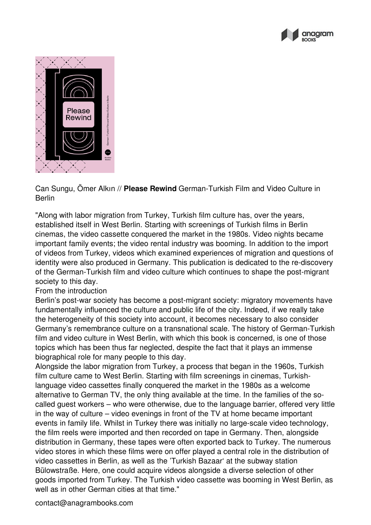



Can Sungu, Ömer Alkın // **Please Rewind** German-Turkish Film and Video Culture in Berlin

"Along with labor migration from Turkey, Turkish film culture has, over the years, established itself in West Berlin. Starting with screenings of Turkish films in Berlin cinemas, the video cassette conquered the market in the 1980s. Video nights became important family events; the video rental industry was booming. In addition to the import of videos from Turkey, videos which examined experiences of migration and questions of identity were also produced in Germany. This publication is dedicated to the re-discovery of the German-Turkish film and video culture which continues to shape the post-migrant society to this day.

## From the introduction

Berlin's post-war society has become a post-migrant society: migratory movements have fundamentally influenced the culture and public life of the city. Indeed, if we really take the heterogeneity of this society into account, it becomes necessary to also consider Germany's remembrance culture on a transnational scale. The history of German-Turkish film and video culture in West Berlin, with which this book is concerned, is one of those topics which has been thus far neglected, despite the fact that it plays an immense biographical role for many people to this day.

Alongside the labor migration from Turkey, a process that began in the 1960s, Turkish film culture came to West Berlin. Starting with film screenings in cinemas, Turkishlanguage video cassettes finally conquered the market in the 1980s as a welcome alternative to German TV, the only thing available at the time. In the families of the socalled guest workers – who were otherwise, due to the language barrier, offered very little in the way of culture – video evenings in front of the TV at home became important events in family life. Whilst in Turkey there was initially no large-scale video technology, the film reels were imported and then recorded on tape in Germany. Then, alongside distribution in Germany, these tapes were often exported back to Turkey. The numerous video stores in which these films were on offer played a central role in the distribution of video cassettes in Berlin, as well as the 'Turkish Bazaar' at the subway station Bülowstraße. Here, one could acquire videos alongside a diverse selection of other goods imported from Turkey. The Turkish video cassette was booming in West Berlin, as well as in other German cities at that time."

contact@anagrambooks.com